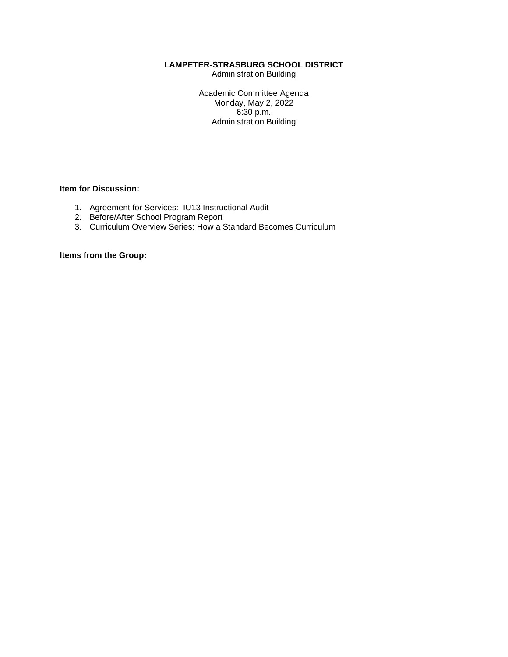#### **LAMPETER-STRASBURG SCHOOL DISTRICT**

Administration Building

Academic Committee Agenda Monday, May 2, 2022 6:30 p.m. Administration Building

#### **Item for Discussion:**

- 1. Agreement for Services: IU13 Instructional Audit
- 2. Before/After School Program Report
- 3. Curriculum Overview Series: How a Standard Becomes Curriculum

**Items from the Group:**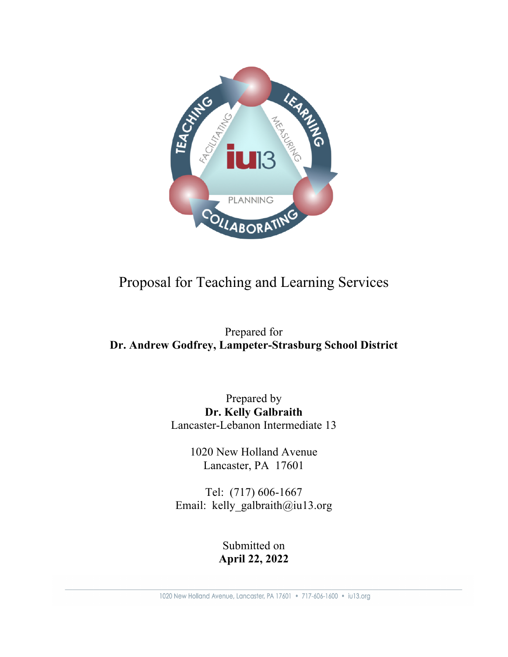

### Proposal for Teaching and Learning Services

Prepared for **Dr. Andrew Godfrey, Lampeter-Strasburg School District**

> Prepared by **Dr. Kelly Galbraith** Lancaster-Lebanon Intermediate 13

> > 1020 New Holland Avenue Lancaster, PA 17601

Tel: (717) 606-1667 Email: kelly galbraith@iu13.org

> Submitted on **April 22, 2022**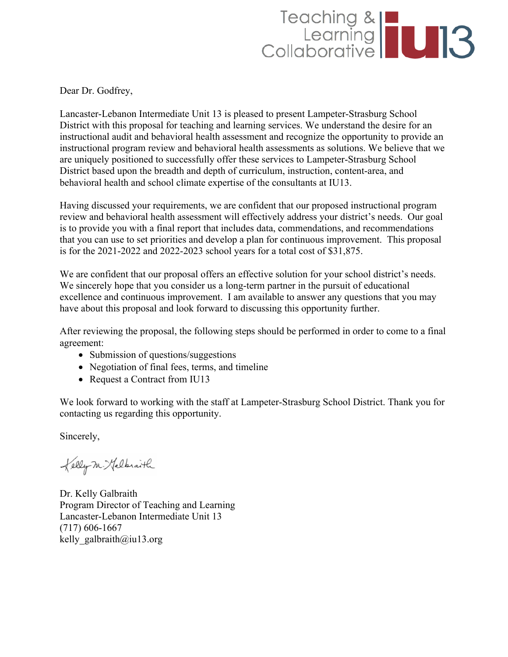## Teaching &<br>Learning<br>Collaborative

Dear Dr. Godfrey,

Lancaster-Lebanon Intermediate Unit 13 is pleased to present Lampeter-Strasburg School District with this proposal for teaching and learning services. We understand the desire for an instructional audit and behavioral health assessment and recognize the opportunity to provide an instructional program review and behavioral health assessments as solutions. We believe that we are uniquely positioned to successfully offer these services to Lampeter-Strasburg School District based upon the breadth and depth of curriculum, instruction, content-area, and behavioral health and school climate expertise of the consultants at IU13.

Having discussed your requirements, we are confident that our proposed instructional program review and behavioral health assessment will effectively address your district's needs. Our goal is to provide you with a final report that includes data, commendations, and recommendations that you can use to set priorities and develop a plan for continuous improvement. This proposal is for the 2021-2022 and 2022-2023 school years for a total cost of \$31,875.

We are confident that our proposal offers an effective solution for your school district's needs. We sincerely hope that you consider us a long-term partner in the pursuit of educational excellence and continuous improvement. I am available to answer any questions that you may have about this proposal and look forward to discussing this opportunity further.

After reviewing the proposal, the following steps should be performed in order to come to a final agreement:

- Submission of questions/suggestions
- Negotiation of final fees, terms, and timeline
- Request a Contract from IU13

We look forward to working with the staff at Lampeter-Strasburg School District. Thank you for contacting us regarding this opportunity.

Sincerely,

Kelly M. Halbraith

Dr. Kelly Galbraith Program Director of Teaching and Learning Lancaster-Lebanon Intermediate Unit 13 (717) 606-1667 kelly\_galbraith@iu13.org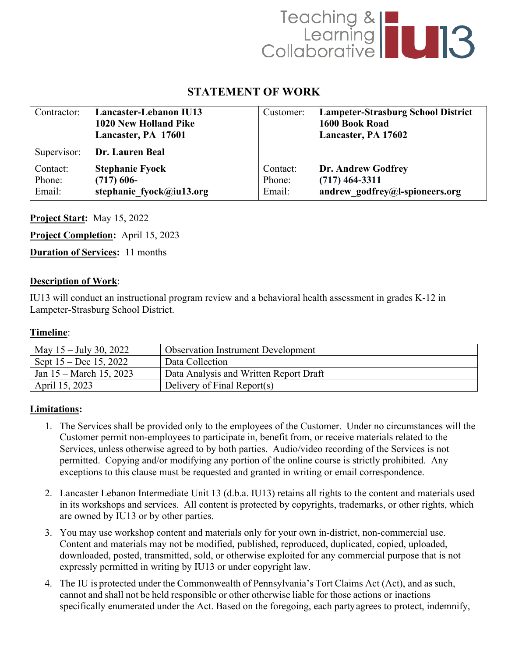

#### **STATEMENT OF WORK**

| Contractor:                  | Lancaster-Lebanon IU13<br>1020 New Holland Pike<br>Lancaster, PA 17601 | Customer:                    | <b>Lampeter-Strasburg School District</b><br>1600 Book Road<br>Lancaster, PA 17602 |  |
|------------------------------|------------------------------------------------------------------------|------------------------------|------------------------------------------------------------------------------------|--|
| Supervisor:                  | Dr. Lauren Beal                                                        |                              |                                                                                    |  |
| Contact:<br>Phone:<br>Email: | <b>Stephanie Fyock</b><br>$(717)$ 606-<br>stephanie fyock@iu13.org     | Contact:<br>Phone:<br>Email: | Dr. Andrew Godfrey<br>$(717)$ 464-3311<br>andrew godfrey@l-spioneers.org           |  |

**Project Start:** May 15, 2022

**Project Completion:** April 15, 2023

**Duration of Services:** 11 months

#### **Description of Work**:

IU13 will conduct an instructional program review and a behavioral health assessment in grades K-12 in Lampeter-Strasburg School District.

#### **Timeline**:

| May $15 -$ July 30, 2022          | <b>Observation Instrument Development</b> |
|-----------------------------------|-------------------------------------------|
| Sept $15 - Dec 15$ , 2022         | Data Collection                           |
| Jan $15 - \text{March } 15, 2023$ | Data Analysis and Written Report Draft    |
| April 15, 2023                    | Delivery of Final Report(s)               |

#### **Limitations:**

- 1. The Services shall be provided only to the employees of the Customer. Under no circumstances will the Customer permit non-employees to participate in, benefit from, or receive materials related to the Services, unless otherwise agreed to by both parties. Audio/video recording of the Services is not permitted. Copying and/or modifying any portion of the online course is strictly prohibited. Any exceptions to this clause must be requested and granted in writing or email correspondence.
- 2. Lancaster Lebanon Intermediate Unit 13 (d.b.a. IU13) retains all rights to the content and materials used in its workshops and services. All content is protected by copyrights, trademarks, or other rights, which are owned by IU13 or by other parties.
- 3. You may use workshop content and materials only for your own in-district, non-commercial use. Content and materials may not be modified, published, reproduced, duplicated, copied, uploaded, downloaded, posted, transmitted, sold, or otherwise exploited for any commercial purpose that is not expressly permitted in writing by IU13 or under copyright law.
- 4. The IU is protected under the Commonwealth of Pennsylvania's Tort Claims Act (Act), and as such, cannot and shall not be held responsible or other otherwise liable for those actions or inactions specifically enumerated under the Act. Based on the foregoing, each partyagrees to protect, indemnify,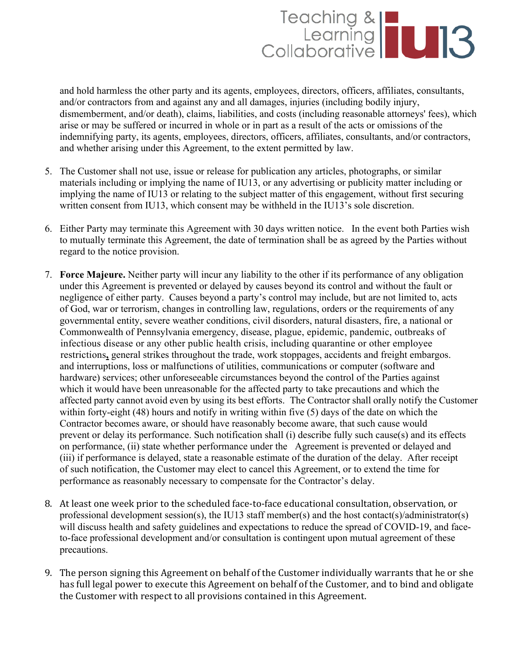

and hold harmless the other party and its agents, employees, directors, officers, affiliates, consultants, and/or contractors from and against any and all damages, injuries (including bodily injury, dismemberment, and/or death), claims, liabilities, and costs (including reasonable attorneys' fees), which arise or may be suffered or incurred in whole or in part as a result of the acts or omissions of the indemnifying party, its agents, employees, directors, officers, affiliates, consultants, and/or contractors, and whether arising under this Agreement, to the extent permitted by law.

- 5. The Customer shall not use, issue or release for publication any articles, photographs, or similar materials including or implying the name of IU13, or any advertising or publicity matter including or implying the name of IU13 or relating to the subject matter of this engagement, without first securing written consent from IU13, which consent may be withheld in the IU13's sole discretion.
- 6. Either Party may terminate this Agreement with 30 days written notice. In the event both Parties wish to mutually terminate this Agreement, the date of termination shall be as agreed by the Parties without regard to the notice provision.
- 7. **Force Majeure.** Neither party will incur any liability to the other if its performance of any obligation under this Agreement is prevented or delayed by causes beyond its control and without the fault or negligence of either party. Causes beyond a party's control may include, but are not limited to, acts of God, war or terrorism, changes in controlling law, regulations, orders or the requirements of any governmental entity, severe weather conditions, civil disorders, natural disasters, fire, a national or Commonwealth of Pennsylvania emergency, disease, plague, epidemic, pandemic, outbreaks of infectious disease or any other public health crisis, including quarantine or other employee restrictions**,** general strikes throughout the trade, work stoppages, accidents and freight embargos. and interruptions, loss or malfunctions of utilities, communications or computer (software and hardware) services; other unforeseeable circumstances beyond the control of the Parties against which it would have been unreasonable for the affected party to take precautions and which the affected party cannot avoid even by using its best efforts. The Contractor shall orally notify the Customer within forty-eight (48) hours and notify in writing within five (5) days of the date on which the Contractor becomes aware, or should have reasonably become aware, that such cause would prevent or delay its performance. Such notification shall (i) describe fully such cause(s) and its effects on performance, (ii) state whether performance under the Agreement is prevented or delayed and (iii) if performance is delayed, state a reasonable estimate of the duration of the delay. After receipt of such notification, the Customer may elect to cancel this Agreement, or to extend the time for performance as reasonably necessary to compensate for the Contractor's delay.
- 8. At least one week prior to the scheduled face-to-face educational consultation, observation, or professional development session(s), the IU13 staff member(s) and the host contact(s)/administrator(s) will discuss health and safety guidelines and expectations to reduce the spread of COVID-19, and faceto-face professional development and/or consultation is contingent upon mutual agreement of these precautions.
- 9. The person signing this Agreement on behalf of the Customer individually warrants that he or she has full legal power to execute this Agreement on behalf of the Customer, and to bind and obligate the Customer with respect to all provisions contained in this Agreement.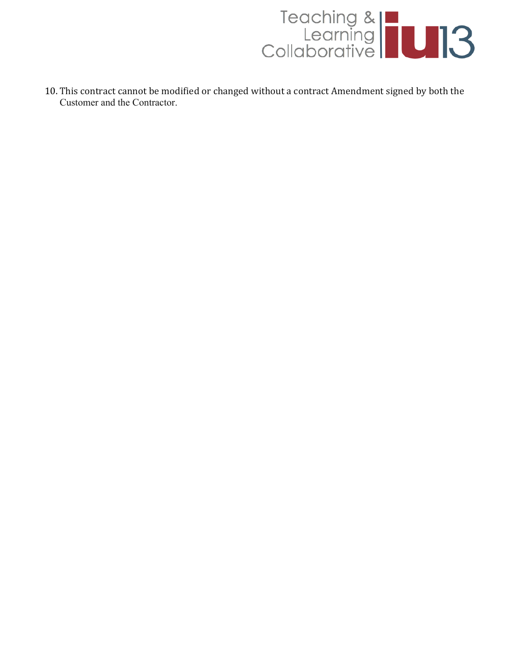

10. This contract cannot be modified or changed without a contract Amendment signed by both the Customer and the Contractor.